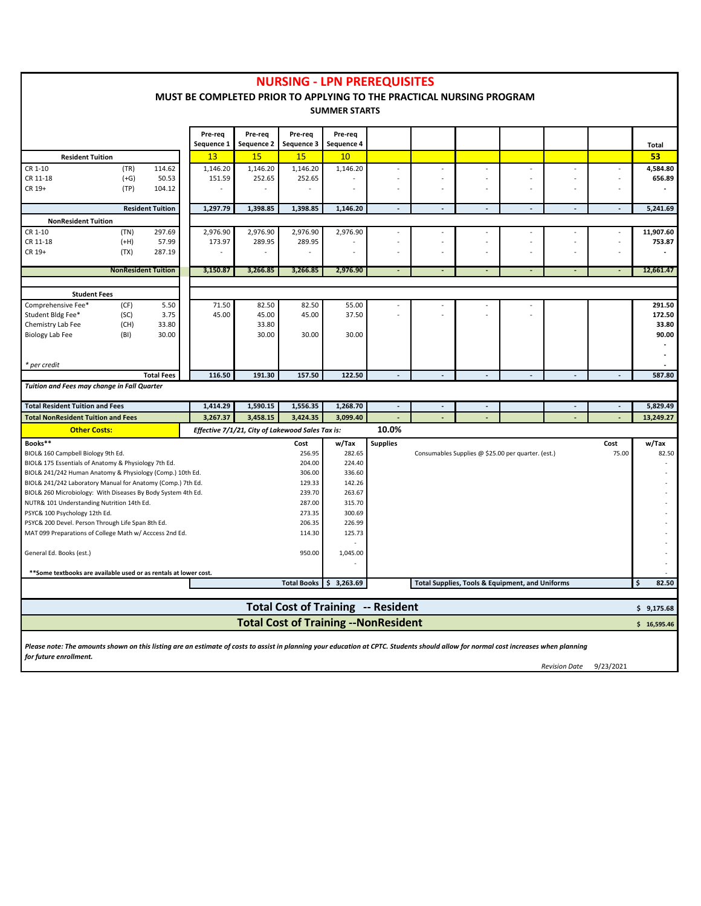|                                                                                                                                                                                     |                                              |                                                                        |                                                                      |                                                  |                       | <b>NURSING - LPN PREREQUISITES</b> |                 |                                 |                                                 |                          |                         |                       |     |                 |
|-------------------------------------------------------------------------------------------------------------------------------------------------------------------------------------|----------------------------------------------|------------------------------------------------------------------------|----------------------------------------------------------------------|--------------------------------------------------|-----------------------|------------------------------------|-----------------|---------------------------------|-------------------------------------------------|--------------------------|-------------------------|-----------------------|-----|-----------------|
|                                                                                                                                                                                     |                                              |                                                                        | MUST BE COMPLETED PRIOR TO APPLYING TO THE PRACTICAL NURSING PROGRAM |                                                  |                       |                                    |                 |                                 |                                                 |                          |                         |                       |     |                 |
|                                                                                                                                                                                     |                                              |                                                                        |                                                                      |                                                  |                       | <b>SUMMER STARTS</b>               |                 |                                 |                                                 |                          |                         |                       |     |                 |
|                                                                                                                                                                                     |                                              |                                                                        |                                                                      |                                                  |                       |                                    |                 |                                 |                                                 |                          |                         |                       |     |                 |
|                                                                                                                                                                                     |                                              |                                                                        | Pre-req<br>Sequence 1                                                | Pre-req<br>Sequence 2                            | Pre-req<br>Sequence 3 | Pre-req<br>Sequence 4              |                 |                                 |                                                 |                          |                         |                       |     | Total           |
| <b>Resident Tuition</b>                                                                                                                                                             |                                              |                                                                        | 13                                                                   | 15                                               | 15                    | 10                                 |                 |                                 |                                                 |                          |                         |                       |     | 53              |
| CR 1-10                                                                                                                                                                             | (TR)                                         | 114.62                                                                 | 1,146.20                                                             | 1,146.20                                         | 1,146.20              | 1,146.20                           |                 | ٠                               |                                                 | $\overline{\phantom{a}}$ |                         | ٠                     |     | 4,584.80        |
| CR 11-18                                                                                                                                                                            | $(+G)$                                       | 50.53                                                                  | 151.59                                                               | 252.65                                           | 252.65                |                                    |                 | ÷,                              |                                                 | ä,                       |                         | $\sim$                |     | 656.89          |
| CR 19+                                                                                                                                                                              | (TP)                                         | 104.12                                                                 |                                                                      | $\sim$                                           | $\sim$                | $\sim$                             |                 | $\blacksquare$                  | ä,                                              | $\blacksquare$           | ä,                      | $\blacksquare$        |     |                 |
| <b>Resident Tuition</b>                                                                                                                                                             |                                              |                                                                        | 1,297.79                                                             | 1.398.85                                         | 1,398.85              | 1,146.20                           | $\blacksquare$  | $\sim$                          | $\sim$                                          | $\sim$                   | $\sim$                  | $\blacksquare$        |     | 5,241.69        |
| <b>NonResident Tuition</b>                                                                                                                                                          |                                              |                                                                        |                                                                      |                                                  |                       |                                    |                 |                                 |                                                 |                          |                         |                       |     |                 |
| CR 1-10                                                                                                                                                                             | (TN)                                         | 297.69                                                                 | 2,976.90                                                             | 2,976.90                                         | 2,976.90              | 2,976.90                           |                 | $\overline{\phantom{a}}$        |                                                 | $\overline{\phantom{a}}$ |                         | $\blacksquare$        |     | 11,907.60       |
| CR 11-18                                                                                                                                                                            | $(+H)$                                       | 57.99                                                                  | 173.97                                                               | 289.95                                           | 289.95                |                                    |                 | $\centering \label{eq:reduced}$ |                                                 | $\blacksquare$           |                         | $\tilde{\phantom{a}}$ |     | 753.87          |
| CR 19+                                                                                                                                                                              | (TX)                                         | 287.19                                                                 |                                                                      |                                                  |                       |                                    |                 | ÷,                              | ä,                                              | L,                       | ÷.                      | $\sim$                |     |                 |
|                                                                                                                                                                                     |                                              | <b>NonResident Tuition</b>                                             | 3,150.87                                                             | 3,266.85                                         | 3,266.85              | 2,976.90                           | $\sim$          | $\sim$                          | $\sim$                                          | $\sim$                   | $\sim$                  | $\sim$                |     | 12,661.47       |
|                                                                                                                                                                                     |                                              |                                                                        |                                                                      |                                                  |                       |                                    |                 |                                 |                                                 |                          |                         |                       |     |                 |
| <b>Student Fees</b>                                                                                                                                                                 |                                              |                                                                        |                                                                      |                                                  |                       |                                    |                 |                                 |                                                 |                          |                         |                       |     |                 |
| Comprehensive Fee*                                                                                                                                                                  | (CF)                                         | 5.50                                                                   | 71.50                                                                | 82.50                                            | 82.50                 | 55.00                              |                 |                                 |                                                 |                          |                         |                       |     | 291.50          |
| Student Bldg Fee*                                                                                                                                                                   | (SC)                                         | 3.75                                                                   | 45.00                                                                | 45.00                                            | 45.00                 | 37.50                              |                 |                                 |                                                 |                          |                         |                       |     | 172.50          |
| Chemistry Lab Fee                                                                                                                                                                   | (CH)                                         | 33.80                                                                  |                                                                      | 33.80                                            |                       |                                    |                 |                                 |                                                 |                          |                         |                       |     | 33.80           |
| Biology Lab Fee                                                                                                                                                                     | (BI)                                         | 30.00                                                                  |                                                                      | 30.00                                            | 30.00                 | 30.00                              |                 |                                 |                                                 |                          |                         |                       |     | 90.00<br>$\sim$ |
|                                                                                                                                                                                     |                                              |                                                                        |                                                                      |                                                  |                       |                                    |                 |                                 |                                                 |                          |                         |                       |     |                 |
| * per credit                                                                                                                                                                        |                                              |                                                                        |                                                                      |                                                  |                       |                                    |                 |                                 |                                                 |                          |                         |                       |     |                 |
| Tuition and Fees may change in Fall Quarter                                                                                                                                         |                                              | <b>Total Fees</b>                                                      | 116.50                                                               | 191.30                                           | 157.50                | 122.50                             |                 |                                 |                                                 |                          |                         |                       |     | 587.80          |
|                                                                                                                                                                                     |                                              |                                                                        |                                                                      |                                                  |                       |                                    |                 |                                 |                                                 |                          |                         |                       |     |                 |
| <b>Total Resident Tuition and Fees</b>                                                                                                                                              |                                              |                                                                        | 1,414.29                                                             | 1,590.15                                         | 1,556.35              | 1,268.70                           |                 |                                 |                                                 |                          |                         |                       |     | 5,829.49        |
| <b>Total NonResident Tuition and Fees</b>                                                                                                                                           |                                              |                                                                        | 3,267.37                                                             | 3,458.15                                         | 3,424.35              | 3,099.40                           |                 |                                 |                                                 |                          |                         |                       |     | 13,249.27       |
| <b>Other Costs:</b>                                                                                                                                                                 |                                              |                                                                        |                                                                      | Effective 7/1/21, City of Lakewood Sales Tax is: |                       |                                    | 10.0%           |                                 |                                                 |                          |                         |                       |     |                 |
| Books**                                                                                                                                                                             |                                              |                                                                        |                                                                      |                                                  | Cost                  | w/Tax                              | <b>Supplies</b> | Cost                            |                                                 |                          |                         |                       |     | w/Tax           |
| BIOL& 160 Campbell Biology 9th Ed.                                                                                                                                                  |                                              | 256.95<br>282.65<br>Consumables Supplies @ \$25.00 per quarter. (est.) |                                                                      |                                                  |                       |                                    |                 | 75.00                           |                                                 | 82.50                    |                         |                       |     |                 |
| BIOL& 175 Essentials of Anatomy & Physiology 7th Ed.                                                                                                                                |                                              |                                                                        | 204.00                                                               | 224.40                                           |                       |                                    |                 |                                 |                                                 |                          |                         |                       |     |                 |
| BIOL& 241/242 Human Anatomy & Physiology (Comp.) 10th Ed.                                                                                                                           |                                              |                                                                        | 306.00                                                               | 336.60                                           |                       |                                    |                 |                                 |                                                 |                          |                         |                       |     |                 |
| BIOL& 241/242 Laboratory Manual for Anatomy (Comp.) 7th Ed.                                                                                                                         |                                              |                                                                        | 129.33                                                               | 142.26                                           |                       |                                    |                 |                                 |                                                 |                          |                         |                       |     |                 |
| BIOL& 260 Microbiology: With Diseases By Body System 4th Ed.                                                                                                                        |                                              |                                                                        | 239.70                                                               | 263.67                                           |                       |                                    |                 |                                 |                                                 |                          |                         |                       |     |                 |
| NUTR& 101 Understanding Nutrition 14th Ed.<br>287.00                                                                                                                                |                                              |                                                                        |                                                                      |                                                  |                       | 315.70                             |                 |                                 |                                                 |                          |                         |                       |     |                 |
| PSYC& 100 Psychology 12th Ed.<br>273.35                                                                                                                                             |                                              |                                                                        |                                                                      |                                                  |                       | 300.69                             |                 |                                 |                                                 |                          |                         |                       |     |                 |
| PSYC& 200 Devel. Person Through Life Span 8th Ed.<br>206.35                                                                                                                         |                                              |                                                                        |                                                                      |                                                  | 226.99                |                                    |                 |                                 |                                                 |                          |                         |                       |     |                 |
| MAT 099 Preparations of College Math w/ Acccess 2nd Ed.                                                                                                                             |                                              |                                                                        |                                                                      |                                                  | 114.30                | 125.73                             |                 |                                 |                                                 |                          |                         |                       |     |                 |
| General Ed. Books (est.)<br>950.00                                                                                                                                                  |                                              |                                                                        |                                                                      |                                                  | 1,045.00              |                                    |                 |                                 |                                                 |                          |                         |                       |     |                 |
| **Some textbooks are available used or as rentals at lower cost.                                                                                                                    |                                              |                                                                        |                                                                      |                                                  |                       |                                    |                 |                                 |                                                 |                          |                         |                       |     |                 |
|                                                                                                                                                                                     |                                              |                                                                        |                                                                      |                                                  |                       | Total Books 5 3,263.69             |                 |                                 | Total Supplies, Tools & Equipment, and Uniforms |                          |                         |                       | - 2 | 82.50           |
|                                                                                                                                                                                     |                                              |                                                                        |                                                                      |                                                  |                       |                                    |                 |                                 |                                                 |                          |                         |                       |     |                 |
|                                                                                                                                                                                     |                                              |                                                                        |                                                                      |                                                  |                       | Total Cost of Training -- Resident |                 |                                 |                                                 |                          |                         |                       |     | \$9,175.68      |
|                                                                                                                                                                                     | <b>Total Cost of Training -- NonResident</b> |                                                                        |                                                                      |                                                  |                       |                                    |                 |                                 |                                                 |                          |                         |                       |     | \$16,595.46     |
|                                                                                                                                                                                     |                                              |                                                                        |                                                                      |                                                  |                       |                                    |                 |                                 |                                                 |                          |                         |                       |     |                 |
| Please note: The amounts shown on this listing are an estimate of costs to assist in planning your education at CPTC. Students should allow for normal cost increases when planning |                                              |                                                                        |                                                                      |                                                  |                       |                                    |                 |                                 |                                                 |                          |                         |                       |     |                 |
| for future enrollment.                                                                                                                                                              |                                              |                                                                        |                                                                      |                                                  |                       |                                    |                 |                                 |                                                 |                          | Revision Date 9/23/2021 |                       |     |                 |

*Revision Date* 9/23/2021